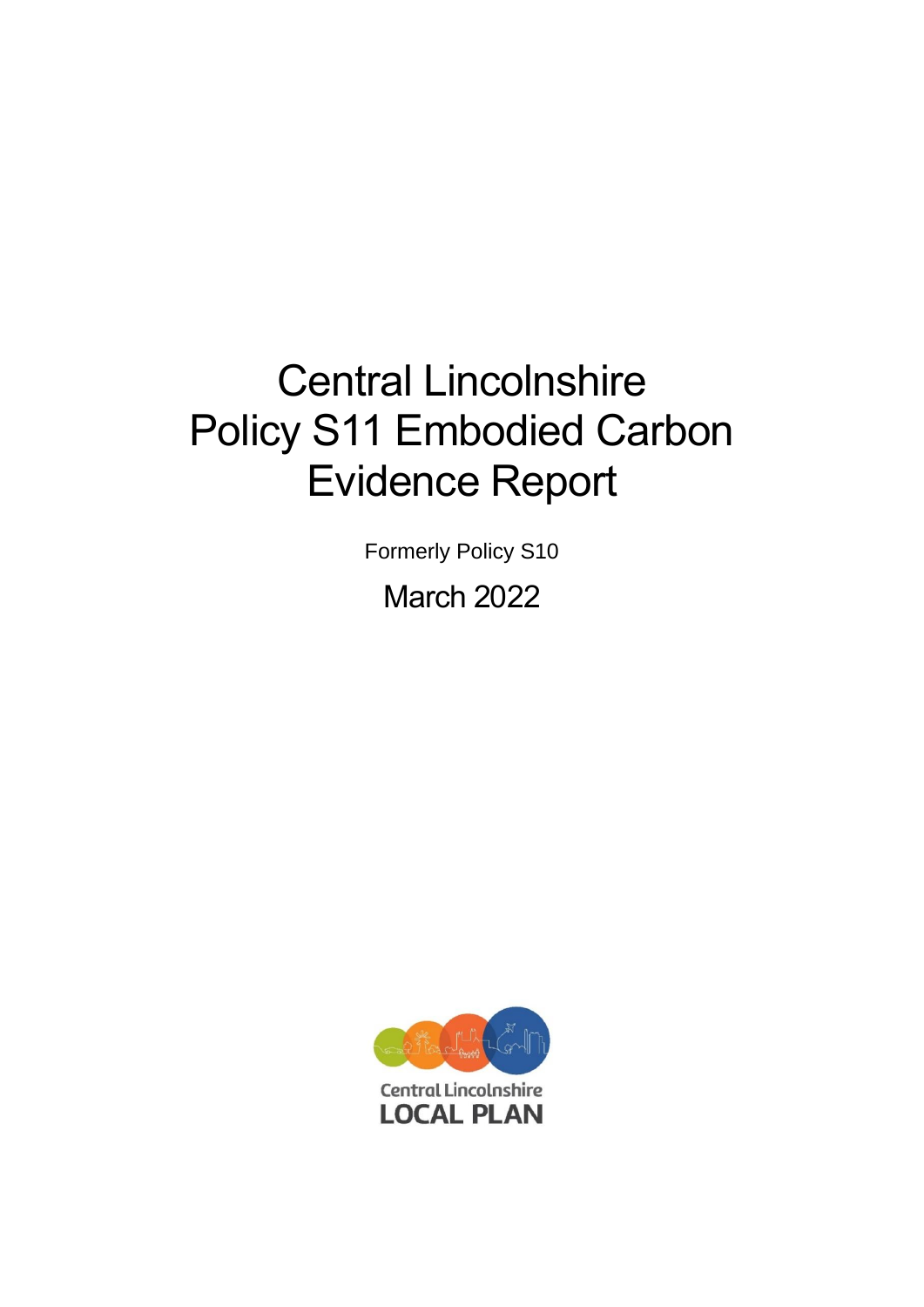# Central Lincolnshire Policy S11 Embodied Carbon Evidence Report

Formerly Policy S10

March 2022

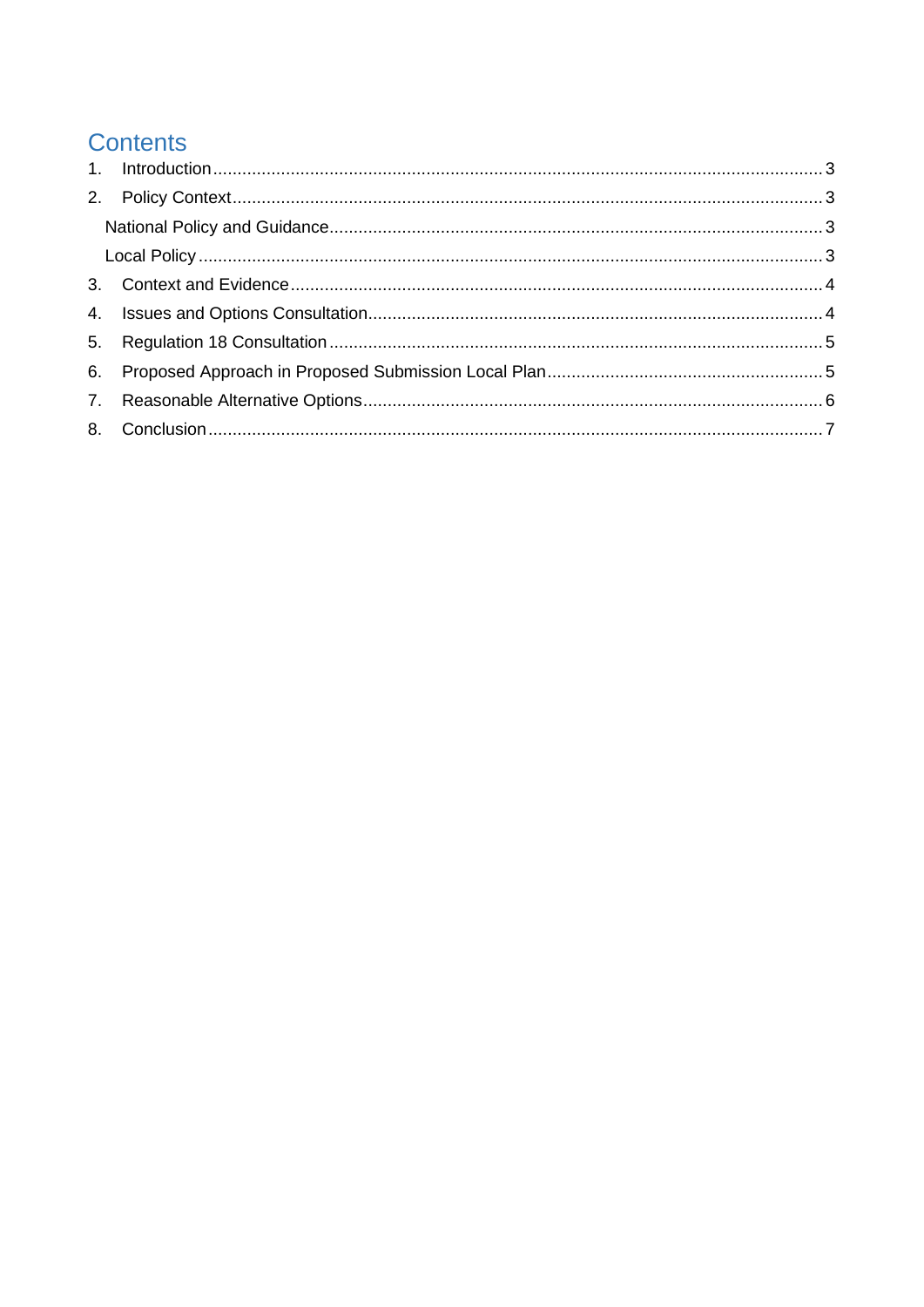# **Contents**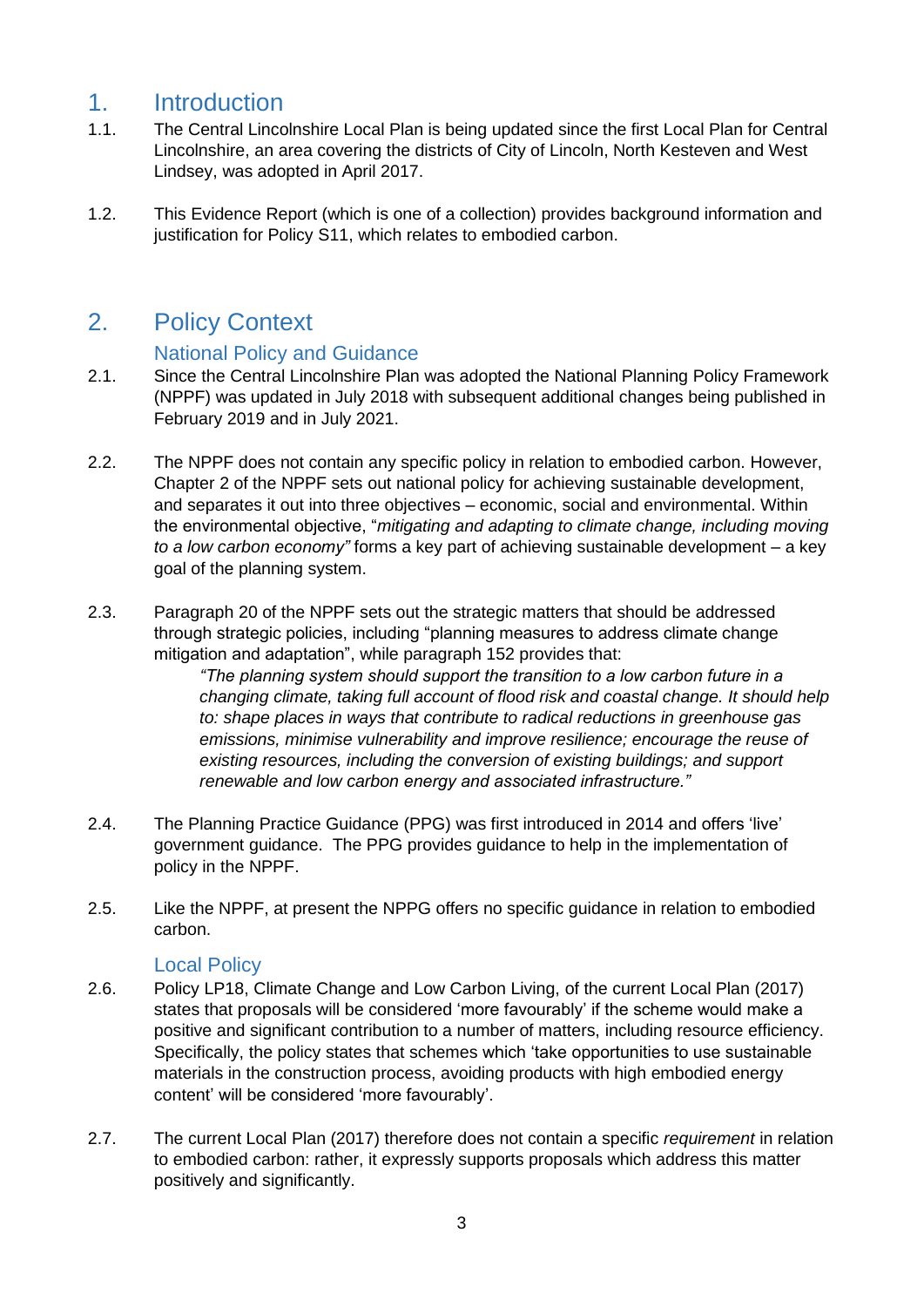#### <span id="page-2-0"></span>1. Introduction

- 1.1. The Central Lincolnshire Local Plan is being updated since the first Local Plan for Central Lincolnshire, an area covering the districts of City of Lincoln, North Kesteven and West Lindsey, was adopted in April 2017.
- 1.2. This Evidence Report (which is one of a collection) provides background information and justification for Policy S11, which relates to embodied carbon.

## <span id="page-2-2"></span><span id="page-2-1"></span>2. Policy Context

#### National Policy and Guidance

- 2.1. Since the Central Lincolnshire Plan was adopted the National Planning Policy Framework (NPPF) was updated in July 2018 with subsequent additional changes being published in February 2019 and in July 2021.
- 2.2. The NPPF does not contain any specific policy in relation to embodied carbon. However, Chapter 2 of the NPPF sets out national policy for achieving sustainable development, and separates it out into three objectives – economic, social and environmental. Within the environmental objective, "*mitigating and adapting to climate change, including moving to a low carbon economy"* forms a key part of achieving sustainable development – a key goal of the planning system.
- 2.3. Paragraph 20 of the NPPF sets out the strategic matters that should be addressed through strategic policies, including "planning measures to address climate change mitigation and adaptation", while paragraph 152 provides that:

*"The planning system should support the transition to a low carbon future in a changing climate, taking full account of flood risk and coastal change. It should help to: shape places in ways that contribute to radical reductions in greenhouse gas emissions, minimise vulnerability and improve resilience; encourage the reuse of existing resources, including the conversion of existing buildings; and support renewable and low carbon energy and associated infrastructure."*

- 2.4. The Planning Practice Guidance (PPG) was first introduced in 2014 and offers 'live' government guidance. The PPG provides guidance to help in the implementation of policy in the NPPF.
- 2.5. Like the NPPF, at present the NPPG offers no specific guidance in relation to embodied carbon.

#### Local Policy

- <span id="page-2-3"></span>2.6. Policy LP18, Climate Change and Low Carbon Living, of the current Local Plan (2017) states that proposals will be considered 'more favourably' if the scheme would make a positive and significant contribution to a number of matters, including resource efficiency. Specifically, the policy states that schemes which 'take opportunities to use sustainable materials in the construction process, avoiding products with high embodied energy content' will be considered 'more favourably'.
- 2.7. The current Local Plan (2017) therefore does not contain a specific *requirement* in relation to embodied carbon: rather, it expressly supports proposals which address this matter positively and significantly.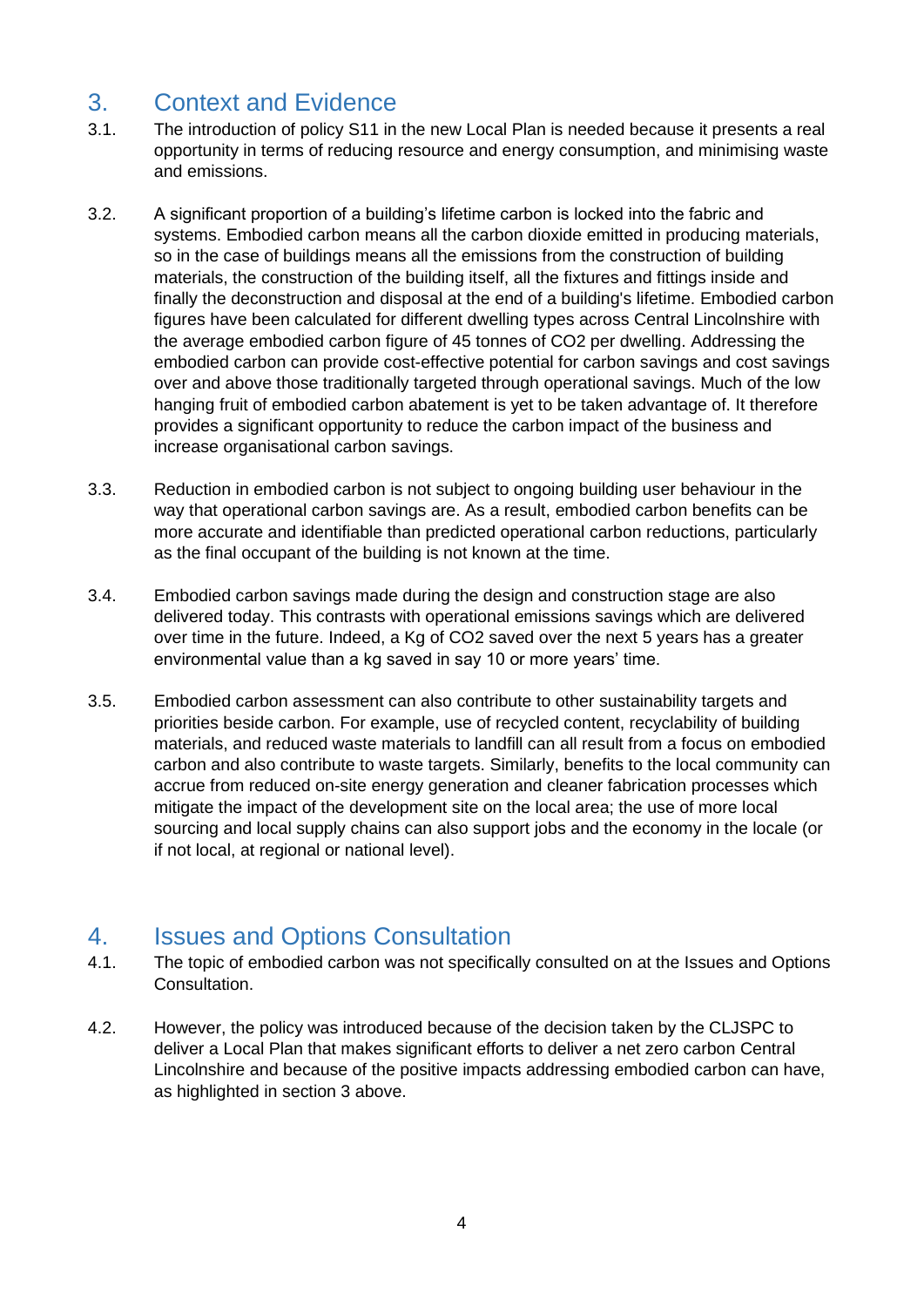# <span id="page-3-0"></span>3. Context and Evidence

- 3.1. The introduction of policy S11 in the new Local Plan is needed because it presents a real opportunity in terms of reducing resource and energy consumption, and minimising waste and emissions.
- 3.2. A significant proportion of a building's lifetime carbon is locked into the fabric and systems. Embodied carbon means all the carbon dioxide emitted in producing materials, so in the case of buildings means all the emissions from the construction of building materials, the construction of the building itself, all the fixtures and fittings inside and finally the deconstruction and disposal at the end of a building's lifetime. Embodied carbon figures have been calculated for different dwelling types across Central Lincolnshire with the average embodied carbon figure of 45 tonnes of CO2 per dwelling. Addressing the embodied carbon can provide cost-effective potential for carbon savings and cost savings over and above those traditionally targeted through operational savings. Much of the low hanging fruit of embodied carbon abatement is yet to be taken advantage of. It therefore provides a significant opportunity to reduce the carbon impact of the business and increase organisational carbon savings.
- 3.3. Reduction in embodied carbon is not subject to ongoing building user behaviour in the way that operational carbon savings are. As a result, embodied carbon benefits can be more accurate and identifiable than predicted operational carbon reductions, particularly as the final occupant of the building is not known at the time.
- 3.4. Embodied carbon savings made during the design and construction stage are also delivered today. This contrasts with operational emissions savings which are delivered over time in the future. Indeed, a Kg of CO2 saved over the next 5 years has a greater environmental value than a kg saved in say 10 or more years' time.
- 3.5. Embodied carbon assessment can also contribute to other sustainability targets and priorities beside carbon. For example, use of recycled content, recyclability of building materials, and reduced waste materials to landfill can all result from a focus on embodied carbon and also contribute to waste targets. Similarly, benefits to the local community can accrue from reduced on-site energy generation and cleaner fabrication processes which mitigate the impact of the development site on the local area; the use of more local sourcing and local supply chains can also support jobs and the economy in the locale (or if not local, at regional or national level).

#### <span id="page-3-1"></span>4. Issues and Options Consultation

- 4.1. The topic of embodied carbon was not specifically consulted on at the Issues and Options Consultation.
- 4.2. However, the policy was introduced because of the decision taken by the CLJSPC to deliver a Local Plan that makes significant efforts to deliver a net zero carbon Central Lincolnshire and because of the positive impacts addressing embodied carbon can have, as highlighted in section 3 above.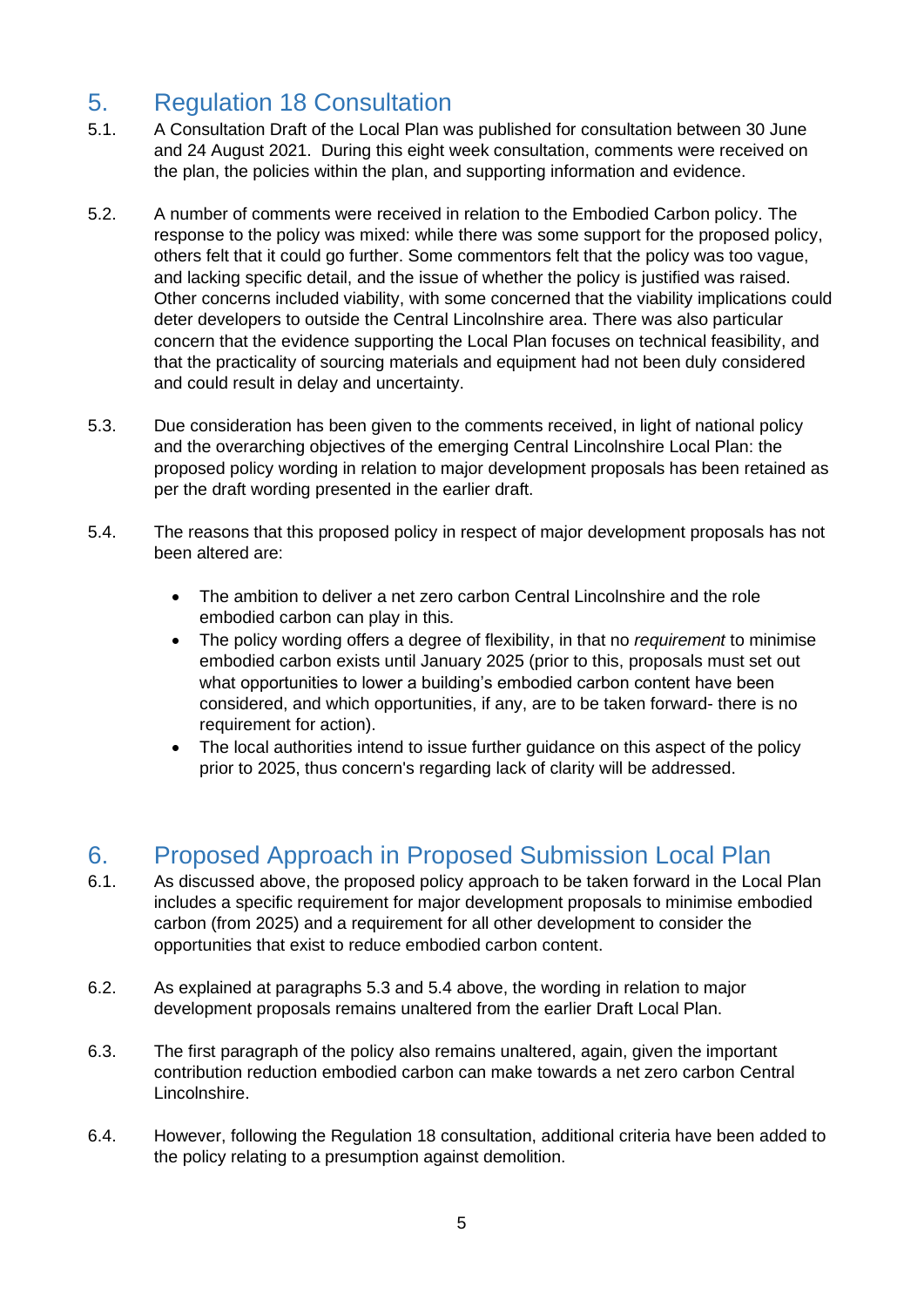# <span id="page-4-0"></span>5. Regulation 18 Consultation

- 5.1. A Consultation Draft of the Local Plan was published for consultation between 30 June and 24 August 2021. During this eight week consultation, comments were received on the plan, the policies within the plan, and supporting information and evidence.
- 5.2. A number of comments were received in relation to the Embodied Carbon policy. The response to the policy was mixed: while there was some support for the proposed policy, others felt that it could go further. Some commentors felt that the policy was too vague, and lacking specific detail, and the issue of whether the policy is justified was raised. Other concerns included viability, with some concerned that the viability implications could deter developers to outside the Central Lincolnshire area. There was also particular concern that the evidence supporting the Local Plan focuses on technical feasibility, and that the practicality of sourcing materials and equipment had not been duly considered and could result in delay and uncertainty.
- 5.3. Due consideration has been given to the comments received, in light of national policy and the overarching objectives of the emerging Central Lincolnshire Local Plan: the proposed policy wording in relation to major development proposals has been retained as per the draft wording presented in the earlier draft.
- 5.4. The reasons that this proposed policy in respect of major development proposals has not been altered are:
	- The ambition to deliver a net zero carbon Central Lincolnshire and the role embodied carbon can play in this.
	- The policy wording offers a degree of flexibility, in that no *requirement* to minimise embodied carbon exists until January 2025 (prior to this, proposals must set out what opportunities to lower a building's embodied carbon content have been considered, and which opportunities, if any, are to be taken forward- there is no requirement for action).
	- The local authorities intend to issue further guidance on this aspect of the policy prior to 2025, thus concern's regarding lack of clarity will be addressed.

## <span id="page-4-1"></span>6. Proposed Approach in Proposed Submission Local Plan

- 6.1. As discussed above, the proposed policy approach to be taken forward in the Local Plan includes a specific requirement for major development proposals to minimise embodied carbon (from 2025) and a requirement for all other development to consider the opportunities that exist to reduce embodied carbon content.
- 6.2. As explained at paragraphs 5.3 and 5.4 above, the wording in relation to major development proposals remains unaltered from the earlier Draft Local Plan.
- 6.3. The first paragraph of the policy also remains unaltered, again, given the important contribution reduction embodied carbon can make towards a net zero carbon Central Lincolnshire.
- 6.4. However, following the Regulation 18 consultation, additional criteria have been added to the policy relating to a presumption against demolition.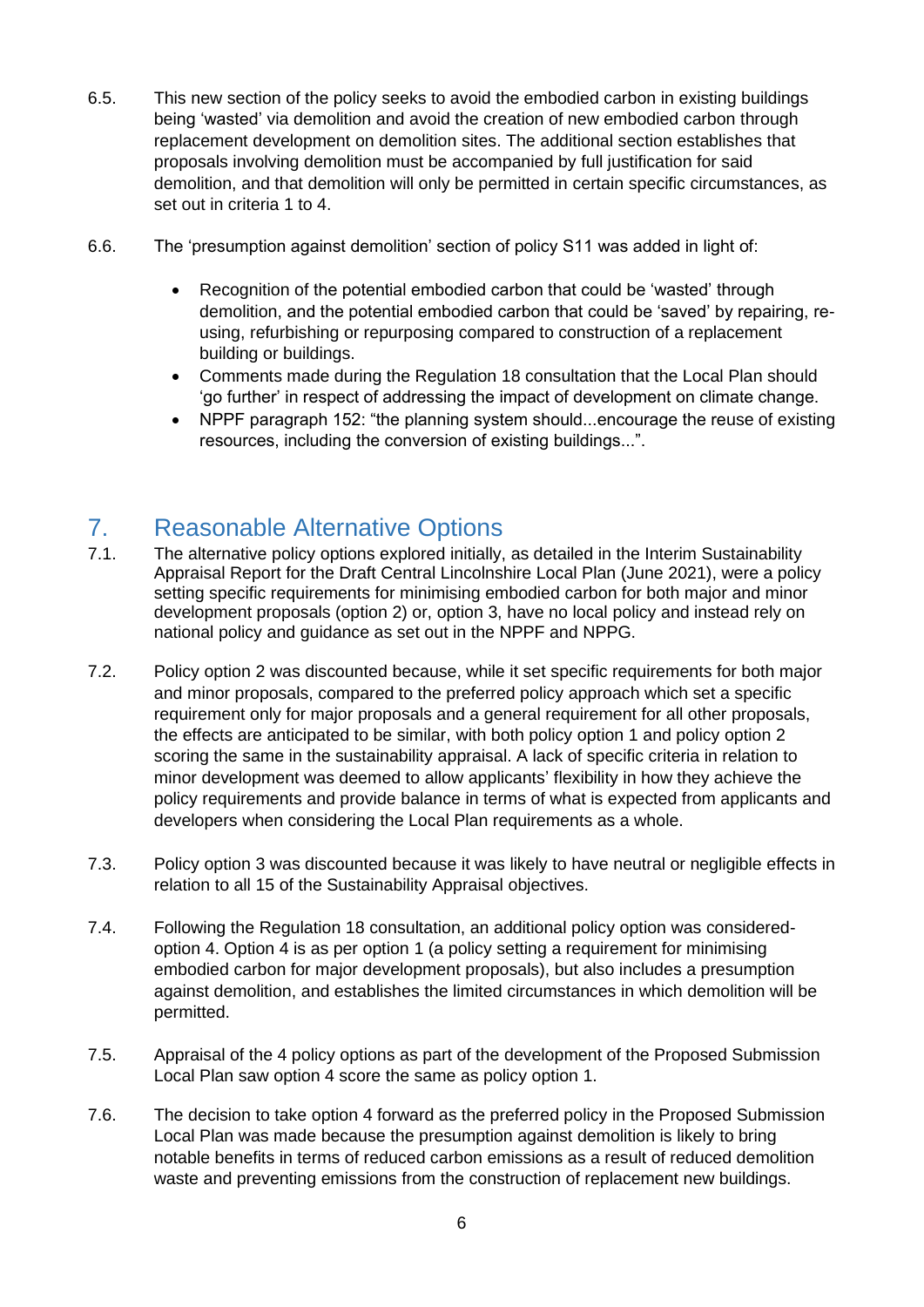- 6.5. This new section of the policy seeks to avoid the embodied carbon in existing buildings being 'wasted' via demolition and avoid the creation of new embodied carbon through replacement development on demolition sites. The additional section establishes that proposals involving demolition must be accompanied by full justification for said demolition, and that demolition will only be permitted in certain specific circumstances, as set out in criteria 1 to 4.
- 6.6. The 'presumption against demolition' section of policy S11 was added in light of:
	- Recognition of the potential embodied carbon that could be 'wasted' through demolition, and the potential embodied carbon that could be 'saved' by repairing, reusing, refurbishing or repurposing compared to construction of a replacement building or buildings.
	- Comments made during the Regulation 18 consultation that the Local Plan should 'go further' in respect of addressing the impact of development on climate change.
	- NPPF paragraph 152: "the planning system should...encourage the reuse of existing resources, including the conversion of existing buildings...".

## <span id="page-5-0"></span>7. Reasonable Alternative Options

- 7.1. The alternative policy options explored initially, as detailed in the Interim Sustainability Appraisal Report for the Draft Central Lincolnshire Local Plan (June 2021), were a policy setting specific requirements for minimising embodied carbon for both major and minor development proposals (option 2) or, option 3, have no local policy and instead rely on national policy and guidance as set out in the NPPF and NPPG.
- 7.2. Policy option 2 was discounted because, while it set specific requirements for both major and minor proposals, compared to the preferred policy approach which set a specific requirement only for major proposals and a general requirement for all other proposals, the effects are anticipated to be similar, with both policy option 1 and policy option 2 scoring the same in the sustainability appraisal. A lack of specific criteria in relation to minor development was deemed to allow applicants' flexibility in how they achieve the policy requirements and provide balance in terms of what is expected from applicants and developers when considering the Local Plan requirements as a whole.
- 7.3. Policy option 3 was discounted because it was likely to have neutral or negligible effects in relation to all 15 of the Sustainability Appraisal objectives.
- 7.4. Following the Regulation 18 consultation, an additional policy option was consideredoption 4. Option 4 is as per option 1 (a policy setting a requirement for minimising embodied carbon for major development proposals), but also includes a presumption against demolition, and establishes the limited circumstances in which demolition will be permitted.
- 7.5. Appraisal of the 4 policy options as part of the development of the Proposed Submission Local Plan saw option 4 score the same as policy option 1.
- 7.6. The decision to take option 4 forward as the preferred policy in the Proposed Submission Local Plan was made because the presumption against demolition is likely to bring notable benefits in terms of reduced carbon emissions as a result of reduced demolition waste and preventing emissions from the construction of replacement new buildings.